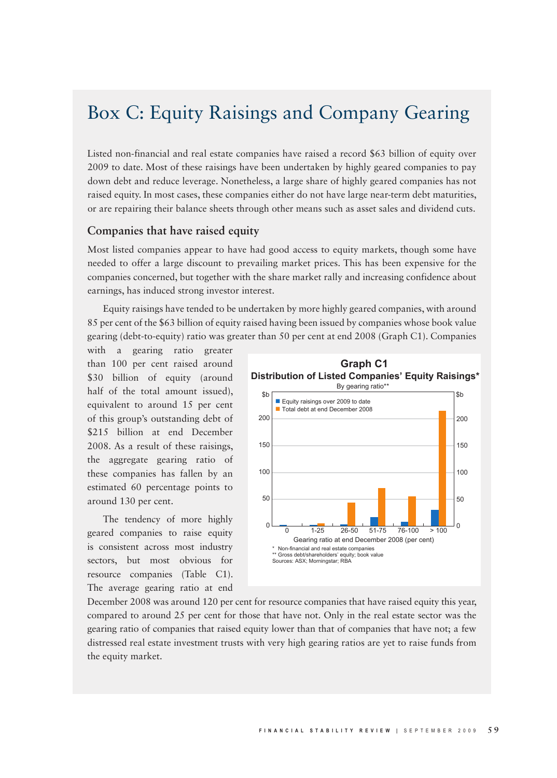## Box C: Equity Raisings and Company Gearing

Listed non-financial and real estate companies have raised a record \$63 billion of equity over 2009 to date. Most of these raisings have been undertaken by highly geared companies to pay down debt and reduce leverage. Nonetheless, a large share of highly geared companies has not raised equity. In most cases, these companies either do not have large near-term debt maturities, or are repairing their balance sheets through other means such as asset sales and dividend cuts.

## **Companies that have raised equity**

Most listed companies appear to have had good access to equity markets, though some have needed to offer a large discount to prevailing market prices. This has been expensive for the companies concerned, but together with the share market rally and increasing confidence about earnings, has induced strong investor interest.

Equity raisings have tended to be undertaken by more highly geared companies, with around 85 per cent of the \$63 billion of equity raised having been issued by companies whose book value gearing (debt-to-equity) ratio was greater than 50 per cent at end 2008 (Graph C1). Companies

with a gearing ratio greater than 100 per cent raised around \$30 billion of equity (around half of the total amount issued), equivalent to around 15 per cent of this group's outstanding debt of \$215 billion at end December 2008. As a result of these raisings, the aggregate gearing ratio of these companies has fallen by an estimated 60 percentage points to around 130 per cent.

The tendency of more highly geared companies to raise equity is consistent across most industry sectors, but most obvious for resource companies (Table C1). The average gearing ratio at end



December 2008 was around 120 per cent for resource companies that have raised equity this year, compared to around 25 per cent for those that have not. Only in the real estate sector was the gearing ratio of companies that raised equity lower than that of companies that have not; a few distressed real estate investment trusts with very high gearing ratios are yet to raise funds from the equity market.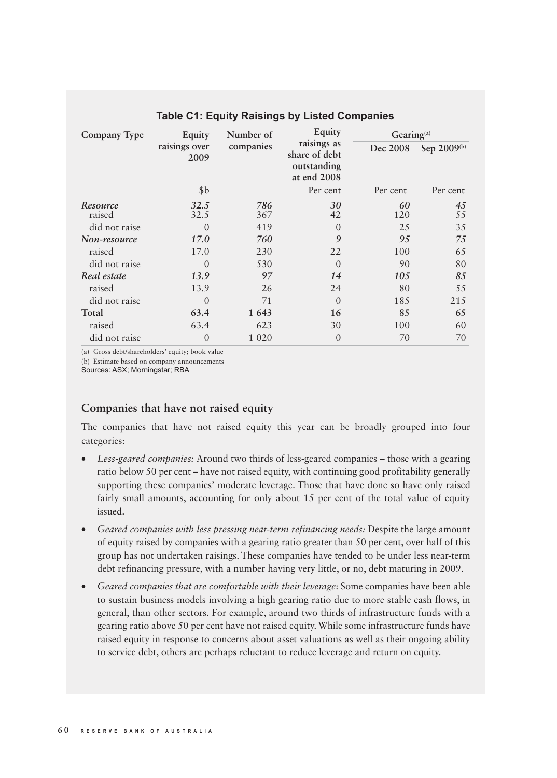| Company Type       | Equity<br>raisings over<br>2009 | Number of<br>companies | Equity<br>raisings as<br>share of debt<br>outstanding<br>at end 2008 | Gearing <sup>(a)</sup> |                         |
|--------------------|---------------------------------|------------------------|----------------------------------------------------------------------|------------------------|-------------------------|
|                    |                                 |                        |                                                                      | Dec 2008               | Sep 2009 <sup>(b)</sup> |
|                    | \$b                             |                        | Per cent                                                             | Per cent               | Per cent                |
| Resource<br>raised | 32.5<br>32.5                    | 786<br>367             | 30<br>42                                                             | 60<br>120              | 45<br>55                |
| did not raise      | $\Omega$                        | 419                    | $\theta$                                                             | 25                     | 35                      |
| Non-resource       | 17.0                            | 760                    | 9                                                                    | 95                     | 75                      |
| raised             | 17.0                            | 230                    | 22                                                                   | 100                    | 65                      |
| did not raise      | $\overline{0}$                  | 530                    | $\Omega$                                                             | 90                     | 80                      |
| Real estate        | 13.9                            | 97                     | 14                                                                   | 105                    | 85                      |
| raised             | 13.9                            | 26                     | 24                                                                   | 80                     | 55                      |
| did not raise      | $\overline{0}$                  | 71                     | $\left($                                                             | 185                    | 215                     |
| Total              | 63.4                            | 1643                   | 16                                                                   | 85                     | 65                      |
| raised             | 63.4                            | 623                    | 30                                                                   | 100                    | 60                      |
| did not raise      | $\overline{0}$                  | 1 0 2 0                | $\overline{0}$                                                       | 70                     | 70                      |

## **Table C1: Equity Raisings by Listed Companies**

(a) Gross debt/shareholders' equity; book value

(b) Estimate based on company announcements

Sources: ASX; Morningstar; RBA

## **Companies that have not raised equity**

The companies that have not raised equity this year can be broadly grouped into four categories:

- Less-geared companies: Around two thirds of less-geared companies those with a gearing ratio below 50 per cent – have not raised equity, with continuing good profitability generally supporting these companies' moderate leverage. Those that have done so have only raised fairly small amounts, accounting for only about 15 per cent of the total value of equity issued.
- • *Geared companies with less pressing near-term refinancing needs:* Despite the large amount of equity raised by companies with a gearing ratio greater than 50 per cent, over half of this group has not undertaken raisings. These companies have tended to be under less near-term debt refinancing pressure, with a number having very little, or no, debt maturing in 2009.
- Geared companies that are comfortable with their leverage: Some companies have been able to sustain business models involving a high gearing ratio due to more stable cash flows, in general, than other sectors. For example, around two thirds of infrastructure funds with a gearing ratio above 50 per cent have not raised equity. While some infrastructure funds have raised equity in response to concerns about asset valuations as well as their ongoing ability to service debt, others are perhaps reluctant to reduce leverage and return on equity.